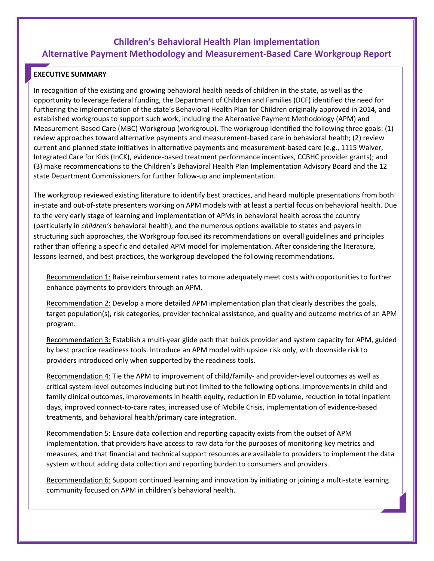# **Children's Behavioral Health Plan Implementation Alternative Payment Methodology and Measurement-Based Care Workgroup Report**

# **EXECUTIVE SUMMARY**

In recognition of the existing and growing behavioral health needs of children in the state, as well as the opportunity to leverage federal funding, the Department of Children and Families (DCF) identified the need for furthering the implementation of the state's Behavioral Health Plan for Children originally approved in 2014, and established workgroups to support such work, including the Alternative Payment Methodology (APM) and Measurement-Based Care (MBC) Workgroup (workgroup). The workgroup identified the following three goals: (1) review approaches toward alternative payments and measurement-based care in behavioral health; (2) review current and planned state initiatives in alternative payments and measurement-based care (e.g., 1115 Waiver, Integrated Care for Kids (InCK), evidence-based treatment performance incentives, CCBHC provider grants); and (3) make recommendations to the Children's Behavioral Health Plan Implementation Advisory Board and the 12 state Department Commissioners for further follow-up and implementation.

The workgroup reviewed existing literature to identify best practices, and heard multiple presentations from both in-state and out-of-state presenters working on APM models with at least a partial focus on behavioral health. Due to the very early stage of learning and implementation of APMs in behavioral health across the country (particularly in *children's* behavioral health), and the numerous options available to states and payers in structuring such approaches, the Workgroup focused its recommendations on overall guidelines and principles rather than offering a specific and detailed APM model for implementation. After considering the literature, lessons learned, and best practices, the workgroup developed the following recommendations.

Recommendation 1: Raise reimbursement rates to more adequately meet costs with opportunities to further enhance payments to providers through an APM.

Recommendation 2: Develop a more detailed APM implementation plan that clearly describes the goals, target population(s), risk categories, provider technical assistance, and quality and outcome metrics of an APM program.

Recommendation 3: Establish a multi-year glide path that builds provider and system capacity for APM, guided by best practice readiness tools. Introduce an APM model with upside risk only, with downside risk to providers introduced only when supported by the readiness tools.

Recommendation 4: Tie the APM to improvement of child/family- and provider-level outcomes as well as critical system-level outcomes including but not limited to the following options: improvements in child and family clinical outcomes, improvements in health equity, reduction in ED volume, reduction in total inpatient days, improved connect-to-care rates, increased use of Mobile Crisis, implementation of evidence-based treatments, and behavioral health/primary care integration.

Recommendation 5: Ensure data collection and reporting capacity exists from the outset of APM implementation, that providers have access to raw data for the purposes of monitoring key metrics and measures, and that financial and technical support resources are available to providers to implement the data system without adding data collection and reporting burden to consumers and providers.

Recommendation 6: Support continued learning and innovation by initiating or joining a multi-state learning community focused on APM in children's behavioral health.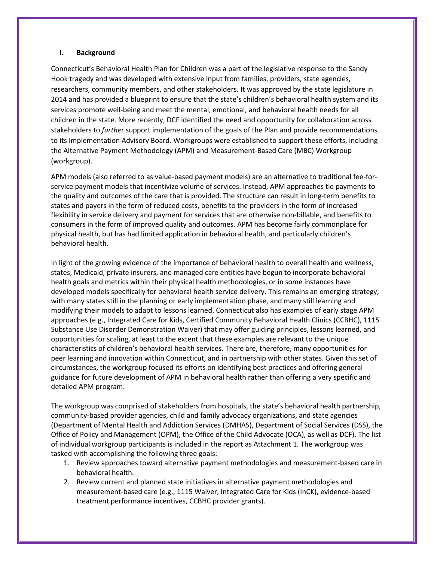#### **I. Background**

Connecticut's Behavioral Health Plan for Children was a part of the legislative response to the Sandy Hook tragedy and was developed with extensive input from families, providers, state agencies, researchers, community members, and other stakeholders. It was approved by the state legislature in 2014 and has provided a blueprint to ensure that the state's children's behavioral health system and its services promote well-being and meet the mental, emotional, and behavioral health needs for all children in the state. More recently, DCF identified the need and opportunity for collaboration across stakeholders to *further* support implementation of the goals of the Plan and provide recommendations to its Implementation Advisory Board. Workgroups were established to support these efforts, including the Alternative Payment Methodology (APM) and Measurement-Based Care (MBC) Workgroup (workgroup).

APM models (also referred to as value-based payment models) are an alternative to traditional fee-forservice payment models that incentivize volume of services. Instead, APM approaches tie payments to the quality and outcomes of the care that is provided. The structure can result in long-term benefits to states and payers in the form of reduced costs, benefits to the providers in the form of increased flexibility in service delivery and payment for services that are otherwise non-billable, and benefits to consumers in the form of improved quality and outcomes. APM has become fairly commonplace for physical health, but has had limited application in behavioral health, and particularly children's behavioral health.

In light of the growing evidence of the importance of behavioral health to overall health and wellness, states, Medicaid, private insurers, and managed care entities have begun to incorporate behavioral health goals and metrics within their physical health methodologies, or in some instances have developed models specifically for behavioral health service delivery. This remains an emerging strategy, with many states still in the planning or early implementation phase, and many still learning and modifying their models to adapt to lessons learned. Connecticut also has examples of early stage APM approaches (e.g., Integrated Care for Kids, Certified Community Behavioral Health Clinics (CCBHC), 1115 Substance Use Disorder Demonstration Waiver) that may offer guiding principles, lessons learned, and opportunities for scaling, at least to the extent that these examples are relevant to the unique characteristics of children's behavioral health services. There are, therefore, many opportunities for peer learning and innovation within Connecticut, and in partnership with other states. Given this set of circumstances, the workgroup focused its efforts on identifying best practices and offering general guidance for future development of APM in behavioral health rather than offering a very specific and detailed APM program.

The workgroup was comprised of stakeholders from hospitals, the state's behavioral health partnership, community-based provider agencies, child and family advocacy organizations, and state agencies (Department of Mental Health and Addiction Services (DMHAS), Department of Social Services (DSS), the Office of Policy and Management (OPM), the Office of the Child Advocate (OCA), as well as DCF). The list of individual workgroup participants is included in the report as Attachment 1. The workgroup was tasked with accomplishing the following three goals:

- 1. Review approaches toward alternative payment methodologies and measurement-based care in behavioral health.
- 2. Review current and planned state initiatives in alternative payment methodologies and measurement-based care (e.g., 1115 Waiver, Integrated Care for Kids (InCK), evidence-based treatment performance incentives, CCBHC provider grants).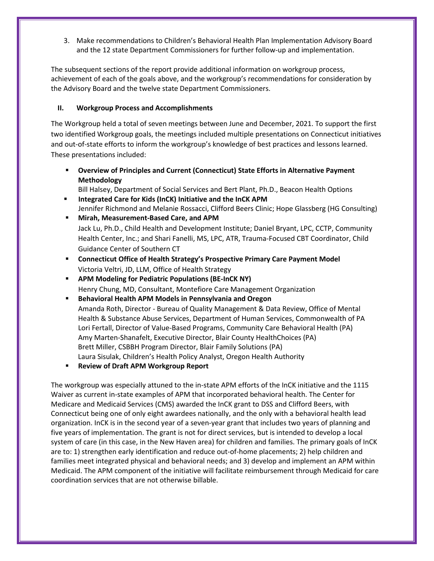3. Make recommendations to Children's Behavioral Health Plan Implementation Advisory Board and the 12 state Department Commissioners for further follow-up and implementation.

The subsequent sections of the report provide additional information on workgroup process, achievement of each of the goals above, and the workgroup's recommendations for consideration by the Advisory Board and the twelve state Department Commissioners.

## **II. Workgroup Process and Accomplishments**

The Workgroup held a total of seven meetings between June and December, 2021. To support the first two identified Workgroup goals, the meetings included multiple presentations on Connecticut initiatives and out-of-state efforts to inform the workgroup's knowledge of best practices and lessons learned. These presentations included:

 **Overview of Principles and Current (Connecticut) State Efforts in Alternative Payment Methodology**

Bill Halsey, Department of Social Services and Bert Plant, Ph.D., Beacon Health Options

- **Integrated Care for Kids (InCK) Initiative and the InCK APM** Jennifer Richmond and Melanie Rossacci, Clifford Beers Clinic; Hope Glassberg (HG Consulting)
- **Mirah, Measurement-Based Care, and APM** Jack Lu, Ph.D., Child Health and Development Institute; Daniel Bryant, LPC, CCTP, Community Health Center, Inc.; and Shari Fanelli, MS, LPC, ATR, Trauma-Focused CBT Coordinator, Child Guidance Center of Southern CT
- **Connecticut Office of Health Strategy's Prospective Primary Care Payment Model** Victoria Veltri, JD, LLM, Office of Health Strategy
- **APM Modeling for Pediatric Populations (BE-InCK NY)** Henry Chung, MD, Consultant, Montefiore Care Management Organization
- **Behavioral Health APM Models in Pennsylvania and Oregon** Amanda Roth, Director - Bureau of Quality Management & Data Review, Office of Mental Health & Substance Abuse Services, Department of Human Services, Commonwealth of PA Lori Fertall, Director of Value-Based Programs, Community Care Behavioral Health (PA) Amy Marten-Shanafelt, Executive Director, Blair County HealthChoices (PA) Brett Miller, CSBBH Program Director, Blair Family Solutions (PA) Laura Sisulak, Children's Health Policy Analyst, Oregon Health Authority
- **Review of Draft APM Workgroup Report**

The workgroup was especially attuned to the in-state APM efforts of the InCK initiative and the 1115 Waiver as current in-state examples of APM that incorporated behavioral health. The Center for Medicare and Medicaid Services (CMS) awarded the InCK grant to DSS and Clifford Beers, with Connecticut being one of only eight awardees nationally, and the only with a behavioral health lead organization. InCK is in the second year of a seven-year grant that includes two years of planning and five years of implementation. The grant is not for direct services, but is intended to develop a local system of care (in this case, in the New Haven area) for children and families. The primary goals of InCK are to: 1) strengthen early identification and reduce out-of-home placements; 2) help children and families meet integrated physical and behavioral needs; and 3) develop and implement an APM within Medicaid. The APM component of the initiative will facilitate reimbursement through Medicaid for care coordination services that are not otherwise billable.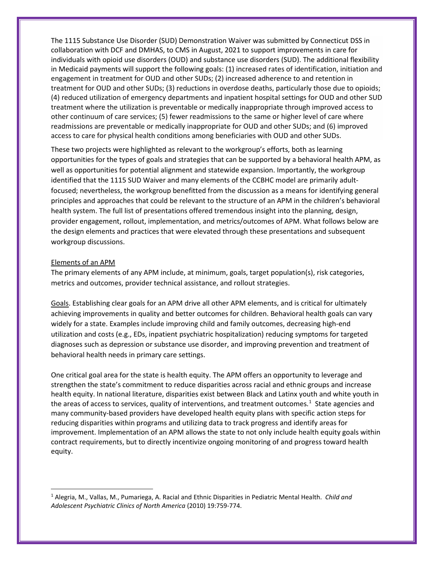The 1115 Substance Use Disorder (SUD) Demonstration Waiver was submitted by Connecticut DSS in collaboration with DCF and DMHAS, to CMS in August, 2021 to support improvements in care for individuals with opioid use disorders (OUD) and substance use disorders (SUD). The additional flexibility in Medicaid payments will support the following goals: (1) increased rates of identification, initiation and engagement in treatment for OUD and other SUDs; (2) increased adherence to and retention in treatment for OUD and other SUDs; (3) reductions in overdose deaths, particularly those due to opioids; (4) reduced utilization of emergency departments and inpatient hospital settings for OUD and other SUD treatment where the utilization is preventable or medically inappropriate through improved access to other continuum of care services; (5) fewer readmissions to the same or higher level of care where readmissions are preventable or medically inappropriate for OUD and other SUDs; and (6) improved access to care for physical health conditions among beneficiaries with OUD and other SUDs.

These two projects were highlighted as relevant to the workgroup's efforts, both as learning opportunities for the types of goals and strategies that can be supported by a behavioral health APM, as well as opportunities for potential alignment and statewide expansion. Importantly, the workgroup identified that the 1115 SUD Waiver and many elements of the CCBHC model are primarily adultfocused; nevertheless, the workgroup benefitted from the discussion as a means for identifying general principles and approaches that could be relevant to the structure of an APM in the children's behavioral health system. The full list of presentations offered tremendous insight into the planning, design, provider engagement, rollout, implementation, and metrics/outcomes of APM. What follows below are the design elements and practices that were elevated through these presentations and subsequent workgroup discussions.

#### Elements of an APM

The primary elements of any APM include, at minimum, goals, target population(s), risk categories, metrics and outcomes, provider technical assistance, and rollout strategies.

Goals. Establishing clear goals for an APM drive all other APM elements, and is critical for ultimately achieving improvements in quality and better outcomes for children. Behavioral health goals can vary widely for a state. Examples include improving child and family outcomes, decreasing high-end utilization and costs (e.g., EDs, inpatient psychiatric hospitalization) reducing symptoms for targeted diagnoses such as depression or substance use disorder, and improving prevention and treatment of behavioral health needs in primary care settings.

One critical goal area for the state is health equity. The APM offers an opportunity to leverage and strengthen the state's commitment to reduce disparities across racial and ethnic groups and increase health equity. In national literature, disparities exist between Black and Latinx youth and white youth in the areas of access to services, quality of interventions, and treatment outcomes.<sup>[1](#page-3-0)</sup> State agencies and many community-based providers have developed health equity plans with specific action steps for reducing disparities within programs and utilizing data to track progress and identify areas for improvement. Implementation of an APM allows the state to not only include health equity goals within contract requirements, but to directly incentivize ongoing monitoring of and progress toward health equity.

<span id="page-3-0"></span> <sup>1</sup> Alegria, M., Vallas, M., Pumariega, A. Racial and Ethnic Disparities in Pediatric Mental Health. *Child and Adolescent Psychiatric Clinics of North America* (2010) 19:759-774.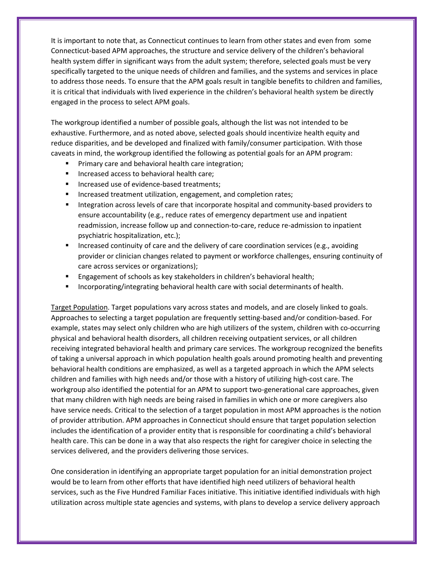It is important to note that, as Connecticut continues to learn from other states and even from some Connecticut-based APM approaches, the structure and service delivery of the children's behavioral health system differ in significant ways from the adult system; therefore, selected goals must be very specifically targeted to the unique needs of children and families, and the systems and services in place to address those needs. To ensure that the APM goals result in tangible benefits to children and families, it is critical that individuals with lived experience in the children's behavioral health system be directly engaged in the process to select APM goals.

The workgroup identified a number of possible goals, although the list was not intended to be exhaustive. Furthermore, and as noted above, selected goals should incentivize health equity and reduce disparities, and be developed and finalized with family/consumer participation. With those caveats in mind, the workgroup identified the following as potential goals for an APM program:

- **Primary care and behavioral health care integration;**
- Increased access to behavioral health care;
- Increased use of evidence-based treatments;
- **Increased treatment utilization, engagement, and completion rates;**
- **Integration across levels of care that incorporate hospital and community-based providers to** ensure accountability (e.g., reduce rates of emergency department use and inpatient readmission, increase follow up and connection-to-care, reduce re-admission to inpatient psychiatric hospitalization, etc.);
- **Increased continuity of care and the delivery of care coordination services (e.g., avoiding** provider or clinician changes related to payment or workforce challenges, ensuring continuity of care across services or organizations);
- **Engagement of schools as key stakeholders in children's behavioral health;**
- **Incorporating/integrating behavioral health care with social determinants of health.**

Target Population. Target populations vary across states and models, and are closely linked to goals. Approaches to selecting a target population are frequently setting-based and/or condition-based. For example, states may select only children who are high utilizers of the system, children with co-occurring physical and behavioral health disorders, all children receiving outpatient services, or all children receiving integrated behavioral health and primary care services. The workgroup recognized the benefits of taking a universal approach in which population health goals around promoting health and preventing behavioral health conditions are emphasized, as well as a targeted approach in which the APM selects children and families with high needs and/or those with a history of utilizing high-cost care. The workgroup also identified the potential for an APM to support two-generational care approaches, given that many children with high needs are being raised in families in which one or more caregivers also have service needs. Critical to the selection of a target population in most APM approaches is the notion of provider attribution. APM approaches in Connecticut should ensure that target population selection includes the identification of a provider entity that is responsible for coordinating a child's behavioral health care. This can be done in a way that also respects the right for caregiver choice in selecting the services delivered, and the providers delivering those services.

One consideration in identifying an appropriate target population for an initial demonstration project would be to learn from other efforts that have identified high need utilizers of behavioral health services, such as the Five Hundred Familiar Faces initiative. This initiative identified individuals with high utilization across multiple state agencies and systems, with plans to develop a service delivery approach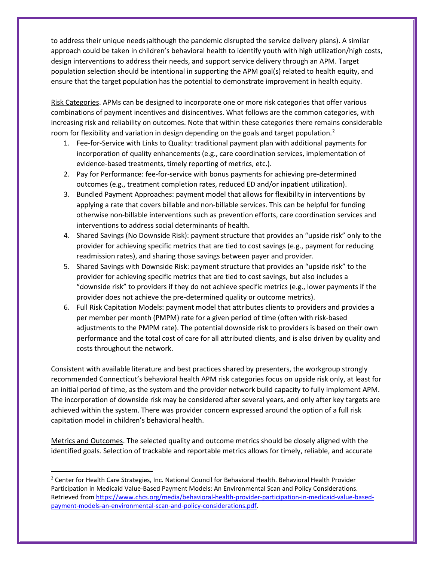to address their unique needs (although the pandemic disrupted the service delivery plans). A similar approach could be taken in children's behavioral health to identify youth with high utilization/high costs, design interventions to address their needs, and support service delivery through an APM. Target population selection should be intentional in supporting the APM goal(s) related to health equity, and ensure that the target population has the potential to demonstrate improvement in health equity.

Risk Categories. APMs can be designed to incorporate one or more risk categories that offer various combinations of payment incentives and disincentives. What follows are the common categories, with increasing risk and reliability on outcomes. Note that within these categories there remains considerable room for flexibility and variation in design depending on the goals and target population.<sup>[2](#page-5-0)</sup>

- 1. Fee-for-Service with Links to Quality: traditional payment plan with additional payments for incorporation of quality enhancements (e.g., care coordination services, implementation of evidence-based treatments, timely reporting of metrics, etc.).
- 2. Pay for Performance: fee-for-service with bonus payments for achieving pre-determined outcomes (e.g., treatment completion rates, reduced ED and/or inpatient utilization).
- 3. Bundled Payment Approaches: payment model that allows for flexibility in interventions by applying a rate that covers billable and non-billable services. This can be helpful for funding otherwise non-billable interventions such as prevention efforts, care coordination services and interventions to address social determinants of health.
- 4. Shared Savings (No Downside Risk): payment structure that provides an "upside risk" only to the provider for achieving specific metrics that are tied to cost savings (e.g., payment for reducing readmission rates), and sharing those savings between payer and provider.
- 5. Shared Savings with Downside Risk: payment structure that provides an "upside risk" to the provider for achieving specific metrics that are tied to cost savings, but also includes a "downside risk" to providers if they do not achieve specific metrics (e.g., lower payments if the provider does not achieve the pre-determined quality or outcome metrics).
- 6. Full Risk Capitation Models: payment model that attributes clients to providers and provides a per member per month (PMPM) rate for a given period of time (often with risk-based adjustments to the PMPM rate). The potential downside risk to providers is based on their own performance and the total cost of care for all attributed clients, and is also driven by quality and costs throughout the network.

Consistent with available literature and best practices shared by presenters, the workgroup strongly recommended Connecticut's behavioral health APM risk categories focus on upside risk only, at least for an initial period of time, as the system and the provider network build capacity to fully implement APM. The incorporation of downside risk may be considered after several years, and only after key targets are achieved within the system. There was provider concern expressed around the option of a full risk capitation model in children's behavioral health.

Metrics and Outcomes. The selected quality and outcome metrics should be closely aligned with the identified goals. Selection of trackable and reportable metrics allows for timely, reliable, and accurate

<span id="page-5-0"></span><sup>&</sup>lt;sup>2</sup> Center for Health Care Strategies, Inc. National Council for Behavioral Health. Behavioral Health Provider Participation in Medicaid Value-Based Payment Models: An Environmental Scan and Policy Considerations. Retrieved from [https://www.chcs.org/media/behavioral-health-provider-participation-in-medicaid-value-based](https://www.chcs.org/media/behavioral-health-provider-participation-in-medicaid-value-based-payment-models-an-environmental-scan-and-policy-considerations.pdf)[payment-models-an-environmental-scan-and-policy-considerations.pdf.](https://www.chcs.org/media/behavioral-health-provider-participation-in-medicaid-value-based-payment-models-an-environmental-scan-and-policy-considerations.pdf)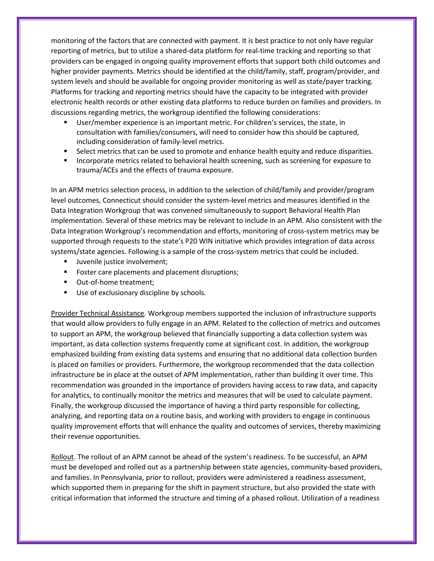monitoring of the factors that are connected with payment. It is best practice to not only have regular reporting of metrics, but to utilize a shared-data platform for real-time tracking and reporting so that providers can be engaged in ongoing quality improvement efforts that support both child outcomes and higher provider payments. Metrics should be identified at the child/family, staff, program/provider, and system levels and should be available for ongoing provider monitoring as well as state/payer tracking. Platforms for tracking and reporting metrics should have the capacity to be integrated with provider electronic health records or other existing data platforms to reduce burden on families and providers. In discussions regarding metrics, the workgroup identified the following considerations:

- User/member experience is an important metric. For children's services, the state, in consultation with families/consumers, will need to consider how this should be captured, including consideration of family-level metrics.
- Select metrics that can be used to promote and enhance health equity and reduce disparities.
- Incorporate metrics related to behavioral health screening, such as screening for exposure to trauma/ACEs and the effects of trauma exposure.

In an APM metrics selection process, in addition to the selection of child/family and provider/program level outcomes, Connecticut should consider the system-level metrics and measures identified in the Data Integration Workgroup that was convened simultaneously to support Behavioral Health Plan implementation. Several of these metrics may be relevant to include in an APM. Also consistent with the Data Integration Workgroup's recommendation and efforts, monitoring of cross-system metrics may be supported through requests to the state's P20 WIN initiative which provides integration of data across systems/state agencies. Following is a sample of the cross-system metrics that could be included.

- **Juvenile justice involvement;**
- **FICE A** Foster care placements and placement disruptions;
- Out-of-home treatment;
- Use of exclusionary discipline by schools.

Provider Technical Assistance. Workgroup members supported the inclusion of infrastructure supports that would allow providers to fully engage in an APM. Related to the collection of metrics and outcomes to support an APM, the workgroup believed that financially supporting a data collection system was important, as data collection systems frequently come at significant cost. In addition, the workgroup emphasized building from existing data systems and ensuring that no additional data collection burden is placed on families or providers. Furthermore, the workgroup recommended that the data collection infrastructure be in place at the outset of APM implementation, rather than building it over time. This recommendation was grounded in the importance of providers having access to raw data, and capacity for analytics, to continually monitor the metrics and measures that will be used to calculate payment. Finally, the workgroup discussed the importance of having a third party responsible for collecting, analyzing, and reporting data on a routine basis, and working with providers to engage in continuous quality improvement efforts that will enhance the quality and outcomes of services, thereby maximizing their revenue opportunities.

Rollout. The rollout of an APM cannot be ahead of the system's readiness. To be successful, an APM must be developed and rolled out as a partnership between state agencies, community-based providers, and families. In Pennsylvania, prior to rollout, providers were administered a readiness assessment, which supported them in preparing for the shift in payment structure, but also provided the state with critical information that informed the structure and timing of a phased rollout. Utilization of a readiness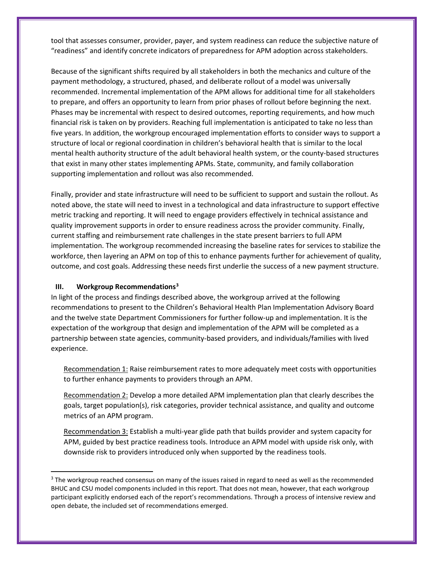tool that assesses consumer, provider, payer, and system readiness can reduce the subjective nature of "readiness" and identify concrete indicators of preparedness for APM adoption across stakeholders.

Because of the significant shifts required by all stakeholders in both the mechanics and culture of the payment methodology, a structured, phased, and deliberate rollout of a model was universally recommended. Incremental implementation of the APM allows for additional time for all stakeholders to prepare, and offers an opportunity to learn from prior phases of rollout before beginning the next. Phases may be incremental with respect to desired outcomes, reporting requirements, and how much financial risk is taken on by providers. Reaching full implementation is anticipated to take no less than five years. In addition, the workgroup encouraged implementation efforts to consider ways to support a structure of local or regional coordination in children's behavioral health that is similar to the local mental health authority structure of the adult behavioral health system, or the county-based structures that exist in many other states implementing APMs. State, community, and family collaboration supporting implementation and rollout was also recommended.

Finally, provider and state infrastructure will need to be sufficient to support and sustain the rollout. As noted above, the state will need to invest in a technological and data infrastructure to support effective metric tracking and reporting. It will need to engage providers effectively in technical assistance and quality improvement supports in order to ensure readiness across the provider community. Finally, current staffing and reimbursement rate challenges in the state present barriers to full APM implementation. The workgroup recommended increasing the baseline rates for services to stabilize the workforce, then layering an APM on top of this to enhance payments further for achievement of quality, outcome, and cost goals. Addressing these needs first underlie the success of a new payment structure.

#### **III. Workgroup Recommendations[3](#page-7-0)**

In light of the process and findings described above, the workgroup arrived at the following recommendations to present to the Children's Behavioral Health Plan Implementation Advisory Board and the twelve state Department Commissioners for further follow-up and implementation. It is the expectation of the workgroup that design and implementation of the APM will be completed as a partnership between state agencies, community-based providers, and individuals/families with lived experience.

Recommendation 1: Raise reimbursement rates to more adequately meet costs with opportunities to further enhance payments to providers through an APM.

Recommendation 2: Develop a more detailed APM implementation plan that clearly describes the goals, target population(s), risk categories, provider technical assistance, and quality and outcome metrics of an APM program.

Recommendation 3: Establish a multi-year glide path that builds provider and system capacity for APM, guided by best practice readiness tools. Introduce an APM model with upside risk only, with downside risk to providers introduced only when supported by the readiness tools.

<span id="page-7-0"></span><sup>&</sup>lt;sup>3</sup> The workgroup reached consensus on many of the issues raised in regard to need as well as the recommended BHUC and CSU model components included in this report. That does not mean, however, that each workgroup participant explicitly endorsed each of the report's recommendations. Through a process of intensive review and open debate, the included set of recommendations emerged.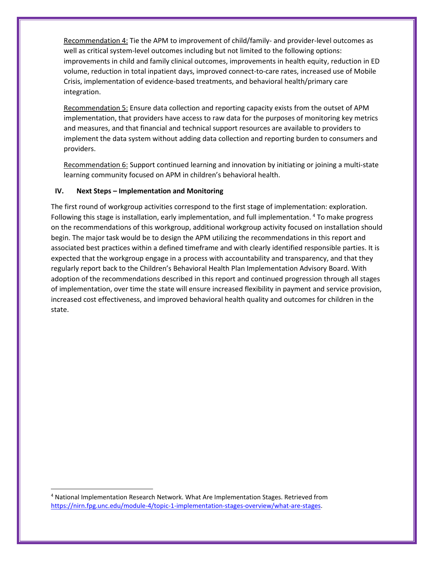Recommendation 4: Tie the APM to improvement of child/family- and provider-level outcomes as well as critical system-level outcomes including but not limited to the following options: improvements in child and family clinical outcomes, improvements in health equity, reduction in ED volume, reduction in total inpatient days, improved connect-to-care rates, increased use of Mobile Crisis, implementation of evidence-based treatments, and behavioral health/primary care integration.

Recommendation 5: Ensure data collection and reporting capacity exists from the outset of APM implementation, that providers have access to raw data for the purposes of monitoring key metrics and measures, and that financial and technical support resources are available to providers to implement the data system without adding data collection and reporting burden to consumers and providers.

Recommendation 6: Support continued learning and innovation by initiating or joining a multi-state learning community focused on APM in children's behavioral health.

## **IV. Next Steps – Implementation and Monitoring**

The first round of workgroup activities correspond to the first stage of implementation: exploration. Following this stage is installation, early implementation, and full implementation. [4](#page-8-0) To make progress on the recommendations of this workgroup, additional workgroup activity focused on installation should begin. The major task would be to design the APM utilizing the recommendations in this report and associated best practices within a defined timeframe and with clearly identified responsible parties. It is expected that the workgroup engage in a process with accountability and transparency, and that they regularly report back to the Children's Behavioral Health Plan Implementation Advisory Board. With adoption of the recommendations described in this report and continued progression through all stages of implementation, over time the state will ensure increased flexibility in payment and service provision, increased cost effectiveness, and improved behavioral health quality and outcomes for children in the state.

<span id="page-8-0"></span> <sup>4</sup> National Implementation Research Network. What Are Implementation Stages. Retrieved from [https://nirn.fpg.unc.edu/module-4/topic-1-implementation-stages-overview/what-are-stages.](https://nirn.fpg.unc.edu/module-4/topic-1-implementation-stages-overview/what-are-stages)